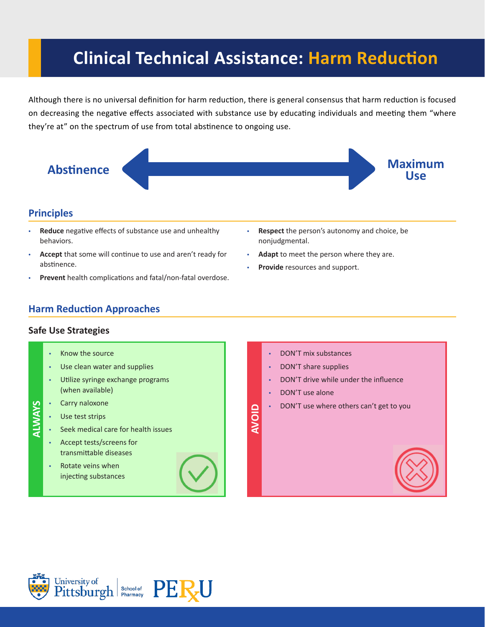# **Clinical Technical Assistance: Harm Reduction**

Although there is no universal definition for harm reduction, there is general consensus that harm reduction is focused on decreasing the negative effects associated with substance use by educating individuals and meeting them "where they're at" on the spectrum of use from total abstinence to ongoing use.



## **Principles**

- **Reduce** negative effects of substance use and unhealthy behaviors.
- **Accept** that some will continue to use and aren't ready for abstinence.
- **Prevent** health complications and fatal/non-fatal overdose.
- **Respect** the person's autonomy and choice, be nonjudgmental.
- **Adapt** to meet the person where they are.
- Provide resources and support.

## **Harm Reduction Approaches**

### **Safe Use Strategies**

- Know the source
- Use clean water and supplies
- Utilize syringe exchange programs (when available)
- **ALWAYS** Carry naloxone **ALWAYS**
	- Use test strips
	- Seek medical care for health issues
		- Accept tests/screens for transmittable diseases
		- Rotate veins when injecting substances



- DON'T mix substances
- DON'T share supplies
- DON'T drive while under the influence
- DON'T use alone

**AVOID**

• DON'T use where others can't get to you